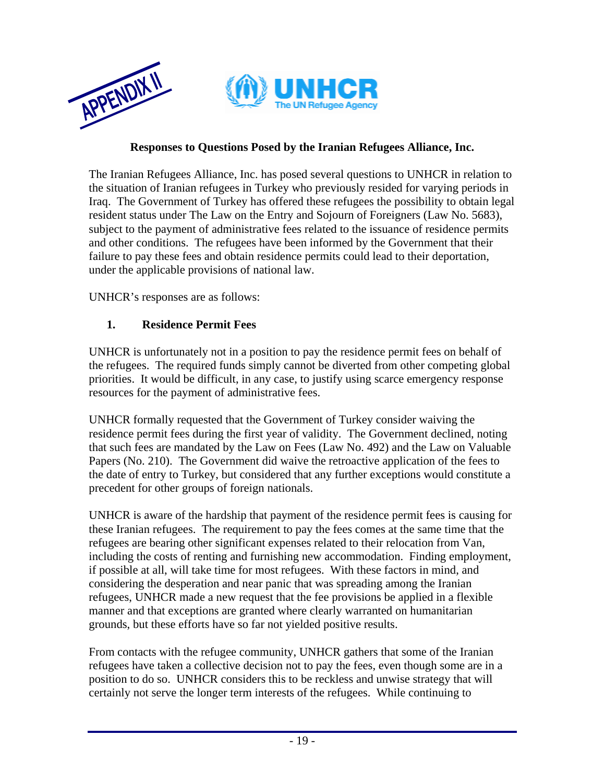

#### **Responses to Questions Posed by the Iranian Refugees Alliance, Inc.**

The Iranian Refugees Alliance, Inc. has posed several questions to UNHCR in relation to the situation of Iranian refugees in Turkey who previously resided for varying periods in Iraq. The Government of Turkey has offered these refugees the possibility to obtain legal resident status under The Law on the Entry and Sojourn of Foreigners (Law No. 5683), subject to the payment of administrative fees related to the issuance of residence permits and other conditions. The refugees have been informed by the Government that their failure to pay these fees and obtain residence permits could lead to their deportation, under the applicable provisions of national law.

UNHCR's responses are as follows:

#### **1. Residence Permit Fees**

UNHCR is unfortunately not in a position to pay the residence permit fees on behalf of the refugees. The required funds simply cannot be diverted from other competing global priorities. It would be difficult, in any case, to justify using scarce emergency response resources for the payment of administrative fees.

UNHCR formally requested that the Government of Turkey consider waiving the residence permit fees during the first year of validity. The Government declined, noting that such fees are mandated by the Law on Fees (Law No. 492) and the Law on Valuable Papers (No. 210). The Government did waive the retroactive application of the fees to the date of entry to Turkey, but considered that any further exceptions would constitute a precedent for other groups of foreign nationals.

UNHCR is aware of the hardship that payment of the residence permit fees is causing for these Iranian refugees. The requirement to pay the fees comes at the same time that the refugees are bearing other significant expenses related to their relocation from Van, including the costs of renting and furnishing new accommodation. Finding employment, if possible at all, will take time for most refugees. With these factors in mind, and considering the desperation and near panic that was spreading among the Iranian refugees, UNHCR made a new request that the fee provisions be applied in a flexible manner and that exceptions are granted where clearly warranted on humanitarian grounds, but these efforts have so far not yielded positive results.

From contacts with the refugee community, UNHCR gathers that some of the Iranian refugees have taken a collective decision not to pay the fees, even though some are in a position to do so. UNHCR considers this to be reckless and unwise strategy that will certainly not serve the longer term interests of the refugees. While continuing to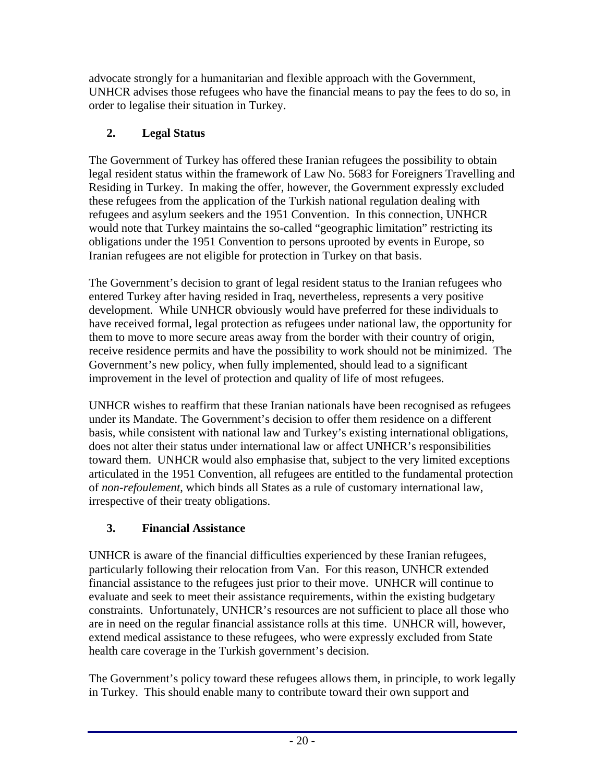advocate strongly for a humanitarian and flexible approach with the Government, UNHCR advises those refugees who have the financial means to pay the fees to do so, in order to legalise their situation in Turkey.

## **2. Legal Status**

The Government of Turkey has offered these Iranian refugees the possibility to obtain legal resident status within the framework of Law No. 5683 for Foreigners Travelling and Residing in Turkey. In making the offer, however, the Government expressly excluded these refugees from the application of the Turkish national regulation dealing with refugees and asylum seekers and the 1951 Convention. In this connection, UNHCR would note that Turkey maintains the so-called "geographic limitation" restricting its obligations under the 1951 Convention to persons uprooted by events in Europe, so Iranian refugees are not eligible for protection in Turkey on that basis.

The Government's decision to grant of legal resident status to the Iranian refugees who entered Turkey after having resided in Iraq, nevertheless, represents a very positive development. While UNHCR obviously would have preferred for these individuals to have received formal, legal protection as refugees under national law, the opportunity for them to move to more secure areas away from the border with their country of origin, receive residence permits and have the possibility to work should not be minimized. The Government's new policy, when fully implemented, should lead to a significant improvement in the level of protection and quality of life of most refugees.

UNHCR wishes to reaffirm that these Iranian nationals have been recognised as refugees under its Mandate. The Government's decision to offer them residence on a different basis, while consistent with national law and Turkey's existing international obligations, does not alter their status under international law or affect UNHCR's responsibilities toward them. UNHCR would also emphasise that, subject to the very limited exceptions articulated in the 1951 Convention, all refugees are entitled to the fundamental protection of *non-refoulement*, which binds all States as a rule of customary international law, irrespective of their treaty obligations.

# **3. Financial Assistance**

UNHCR is aware of the financial difficulties experienced by these Iranian refugees, particularly following their relocation from Van. For this reason, UNHCR extended financial assistance to the refugees just prior to their move. UNHCR will continue to evaluate and seek to meet their assistance requirements, within the existing budgetary constraints. Unfortunately, UNHCR's resources are not sufficient to place all those who are in need on the regular financial assistance rolls at this time. UNHCR will, however, extend medical assistance to these refugees, who were expressly excluded from State health care coverage in the Turkish government's decision.

The Government's policy toward these refugees allows them, in principle, to work legally in Turkey. This should enable many to contribute toward their own support and